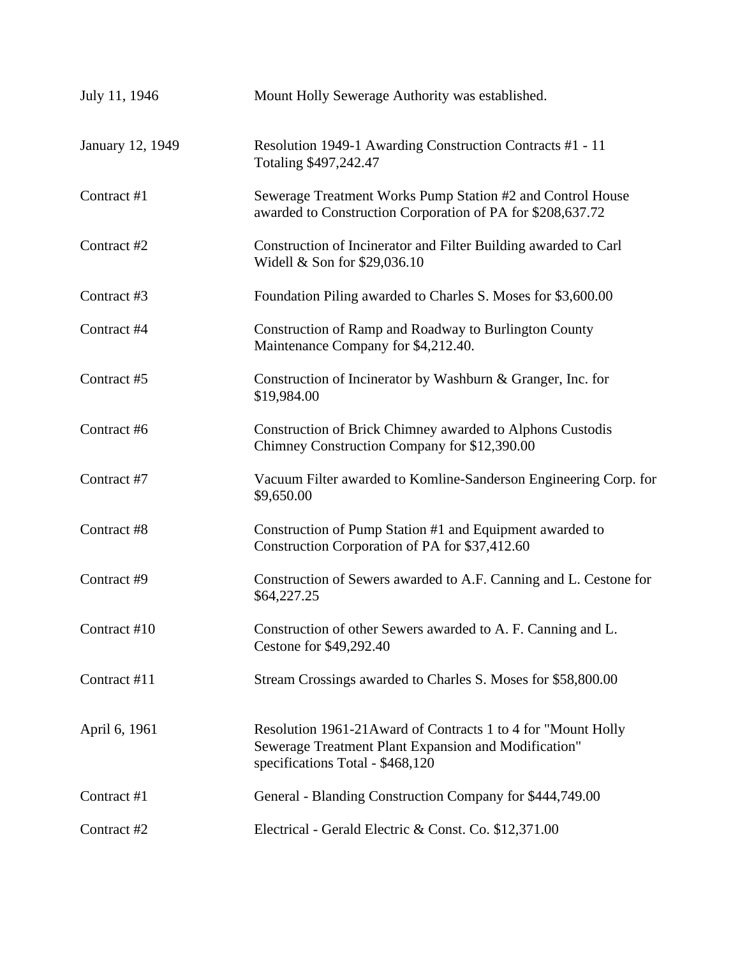| July 11, 1946    | Mount Holly Sewerage Authority was established.                                                                                                           |
|------------------|-----------------------------------------------------------------------------------------------------------------------------------------------------------|
| January 12, 1949 | Resolution 1949-1 Awarding Construction Contracts #1 - 11<br>Totaling \$497,242.47                                                                        |
| Contract #1      | Sewerage Treatment Works Pump Station #2 and Control House<br>awarded to Construction Corporation of PA for \$208,637.72                                  |
| Contract #2      | Construction of Incinerator and Filter Building awarded to Carl<br>Widell & Son for \$29,036.10                                                           |
| Contract #3      | Foundation Piling awarded to Charles S. Moses for \$3,600.00                                                                                              |
| Contract #4      | Construction of Ramp and Roadway to Burlington County<br>Maintenance Company for \$4,212.40.                                                              |
| Contract #5      | Construction of Incinerator by Washburn & Granger, Inc. for<br>\$19,984.00                                                                                |
| Contract #6      | Construction of Brick Chimney awarded to Alphons Custodis<br>Chimney Construction Company for \$12,390.00                                                 |
| Contract #7      | Vacuum Filter awarded to Komline-Sanderson Engineering Corp. for<br>\$9,650.00                                                                            |
| Contract #8      | Construction of Pump Station #1 and Equipment awarded to<br>Construction Corporation of PA for \$37,412.60                                                |
| Contract #9      | Construction of Sewers awarded to A.F. Canning and L. Cestone for<br>\$64,227.25                                                                          |
| Contract #10     | Construction of other Sewers awarded to A. F. Canning and L.<br>Cestone for \$49,292.40                                                                   |
| Contract #11     | Stream Crossings awarded to Charles S. Moses for \$58,800.00                                                                                              |
| April 6, 1961    | Resolution 1961-21 Award of Contracts 1 to 4 for "Mount Holly<br>Sewerage Treatment Plant Expansion and Modification"<br>specifications Total - \$468,120 |
| Contract #1      | General - Blanding Construction Company for \$444,749.00                                                                                                  |
| Contract #2      | Electrical - Gerald Electric & Const. Co. \$12,371.00                                                                                                     |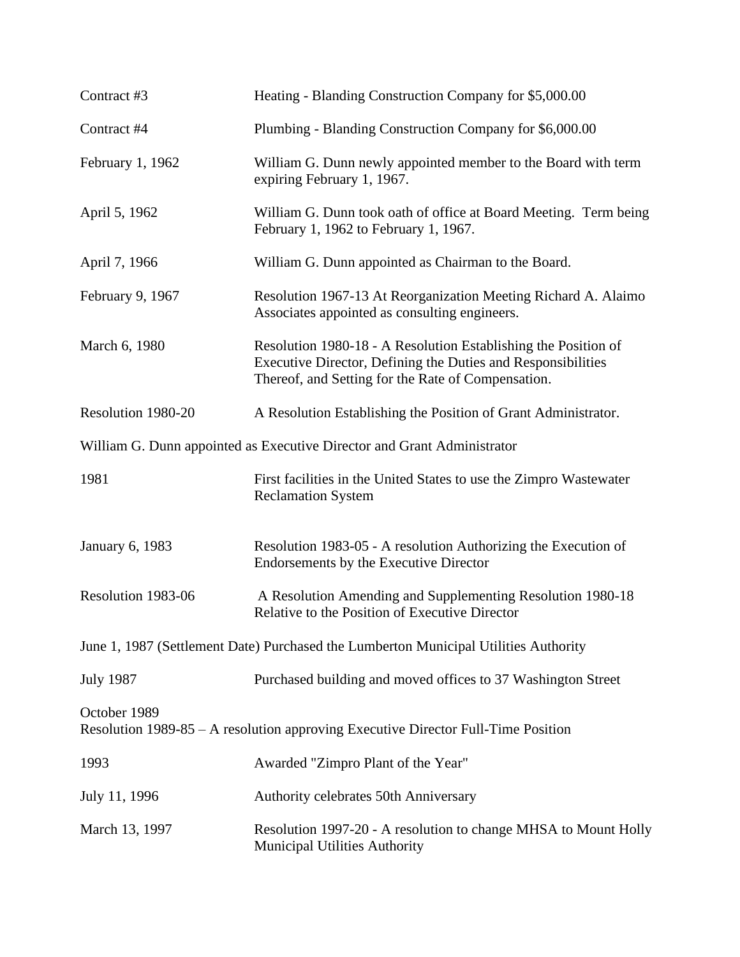| Contract #3            | Heating - Blanding Construction Company for \$5,000.00                                                                                                                               |
|------------------------|--------------------------------------------------------------------------------------------------------------------------------------------------------------------------------------|
| Contract #4            | Plumbing - Blanding Construction Company for \$6,000.00                                                                                                                              |
| February 1, 1962       | William G. Dunn newly appointed member to the Board with term<br>expiring February 1, 1967.                                                                                          |
| April 5, 1962          | William G. Dunn took oath of office at Board Meeting. Term being<br>February 1, 1962 to February 1, 1967.                                                                            |
| April 7, 1966          | William G. Dunn appointed as Chairman to the Board.                                                                                                                                  |
| February 9, 1967       | Resolution 1967-13 At Reorganization Meeting Richard A. Alaimo<br>Associates appointed as consulting engineers.                                                                      |
| March 6, 1980          | Resolution 1980-18 - A Resolution Establishing the Position of<br>Executive Director, Defining the Duties and Responsibilities<br>Thereof, and Setting for the Rate of Compensation. |
| Resolution 1980-20     | A Resolution Establishing the Position of Grant Administrator.                                                                                                                       |
|                        | William G. Dunn appointed as Executive Director and Grant Administrator                                                                                                              |
| 1981                   | First facilities in the United States to use the Zimpro Wastewater<br><b>Reclamation System</b>                                                                                      |
| <b>January 6, 1983</b> | Resolution 1983-05 - A resolution Authorizing the Execution of<br>Endorsements by the Executive Director                                                                             |
| Resolution 1983-06     | A Resolution Amending and Supplementing Resolution 1980-18<br>Relative to the Position of Executive Director                                                                         |
|                        | June 1, 1987 (Settlement Date) Purchased the Lumberton Municipal Utilities Authority                                                                                                 |
| <b>July 1987</b>       | Purchased building and moved offices to 37 Washington Street                                                                                                                         |
| October 1989           | Resolution 1989-85 – A resolution approving Executive Director Full-Time Position                                                                                                    |
| 1993                   | Awarded "Zimpro Plant of the Year"                                                                                                                                                   |
| July 11, 1996          | Authority celebrates 50th Anniversary                                                                                                                                                |
| March 13, 1997         | Resolution 1997-20 - A resolution to change MHSA to Mount Holly<br><b>Municipal Utilities Authority</b>                                                                              |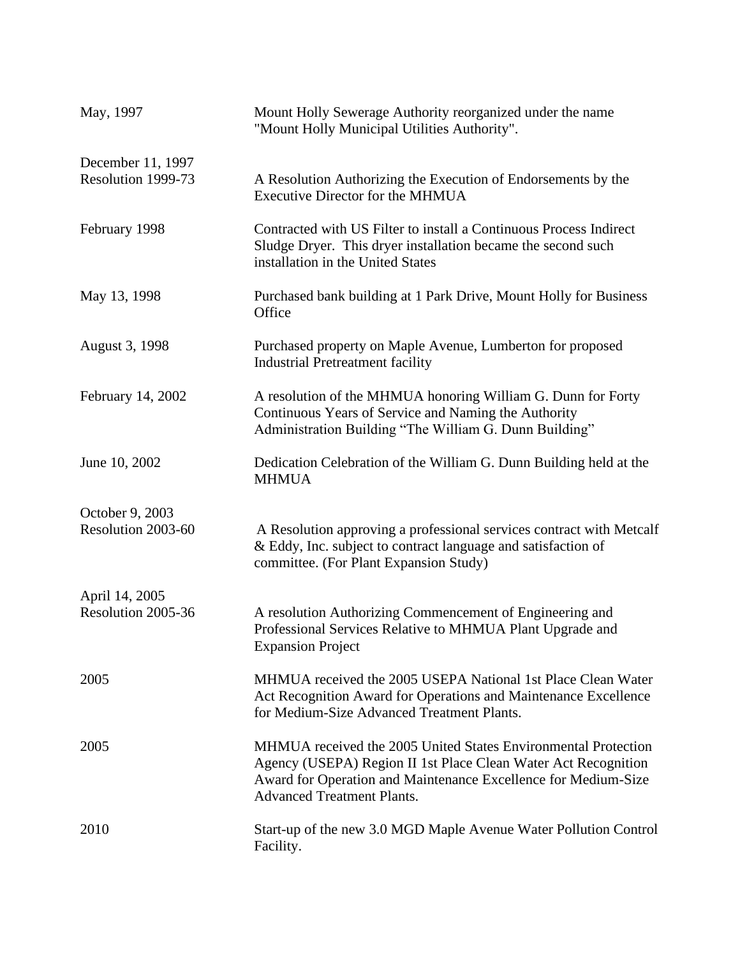| May, 1997                             | Mount Holly Sewerage Authority reorganized under the name<br>"Mount Holly Municipal Utilities Authority".                                                                                                                               |
|---------------------------------------|-----------------------------------------------------------------------------------------------------------------------------------------------------------------------------------------------------------------------------------------|
| December 11, 1997                     |                                                                                                                                                                                                                                         |
| Resolution 1999-73                    | A Resolution Authorizing the Execution of Endorsements by the<br><b>Executive Director for the MHMUA</b>                                                                                                                                |
| February 1998                         | Contracted with US Filter to install a Continuous Process Indirect<br>Sludge Dryer. This dryer installation became the second such<br>installation in the United States                                                                 |
| May 13, 1998                          | Purchased bank building at 1 Park Drive, Mount Holly for Business<br>Office                                                                                                                                                             |
| August 3, 1998                        | Purchased property on Maple Avenue, Lumberton for proposed<br><b>Industrial Pretreatment facility</b>                                                                                                                                   |
| February 14, 2002                     | A resolution of the MHMUA honoring William G. Dunn for Forty<br>Continuous Years of Service and Naming the Authority<br>Administration Building "The William G. Dunn Building"                                                          |
| June 10, 2002                         | Dedication Celebration of the William G. Dunn Building held at the<br><b>MHMUA</b>                                                                                                                                                      |
| October 9, 2003<br>Resolution 2003-60 | A Resolution approving a professional services contract with Metcalf<br>& Eddy, Inc. subject to contract language and satisfaction of<br>committee. (For Plant Expansion Study)                                                         |
| April 14, 2005                        |                                                                                                                                                                                                                                         |
| Resolution 2005-36                    | A resolution Authorizing Commencement of Engineering and<br>Professional Services Relative to MHMUA Plant Upgrade and<br><b>Expansion Project</b>                                                                                       |
| 2005                                  | MHMUA received the 2005 USEPA National 1st Place Clean Water<br>Act Recognition Award for Operations and Maintenance Excellence<br>for Medium-Size Advanced Treatment Plants.                                                           |
| 2005                                  | MHMUA received the 2005 United States Environmental Protection<br>Agency (USEPA) Region II 1st Place Clean Water Act Recognition<br>Award for Operation and Maintenance Excellence for Medium-Size<br><b>Advanced Treatment Plants.</b> |
| 2010                                  | Start-up of the new 3.0 MGD Maple Avenue Water Pollution Control<br>Facility.                                                                                                                                                           |